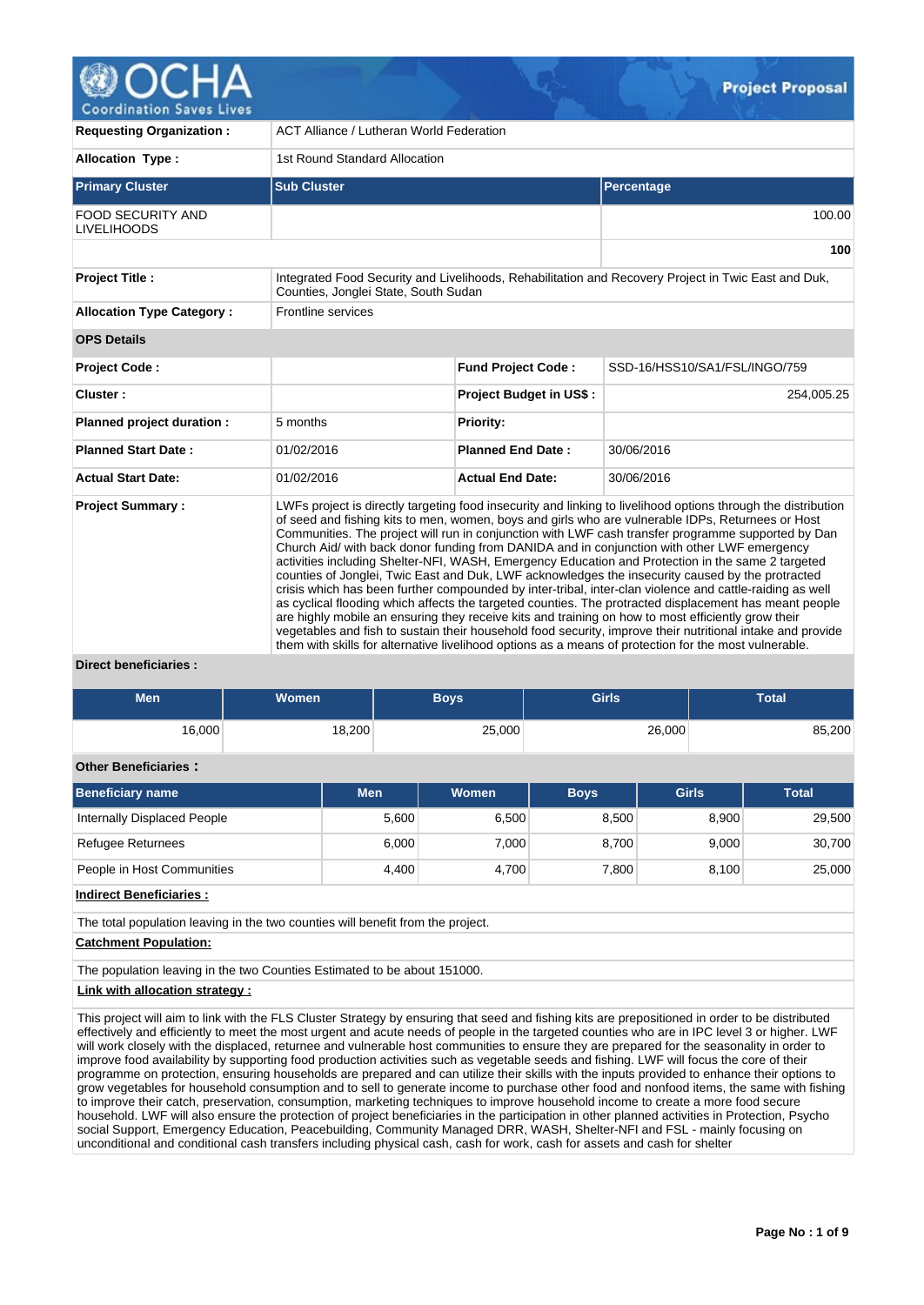

| <b>Requesting Organization:</b>                | <b>ACT Alliance / Lutheran World Federation</b> |                                |                                                                                                                                                                                                                                                                                                                                                                                                                                                                                                                                                                                                                                                                                                                                                                                                                                                                                                                                                                                                                                                                                                                                                                                     |  |  |  |  |  |  |  |
|------------------------------------------------|-------------------------------------------------|--------------------------------|-------------------------------------------------------------------------------------------------------------------------------------------------------------------------------------------------------------------------------------------------------------------------------------------------------------------------------------------------------------------------------------------------------------------------------------------------------------------------------------------------------------------------------------------------------------------------------------------------------------------------------------------------------------------------------------------------------------------------------------------------------------------------------------------------------------------------------------------------------------------------------------------------------------------------------------------------------------------------------------------------------------------------------------------------------------------------------------------------------------------------------------------------------------------------------------|--|--|--|--|--|--|--|
| <b>Allocation Type:</b>                        | 1st Round Standard Allocation                   |                                |                                                                                                                                                                                                                                                                                                                                                                                                                                                                                                                                                                                                                                                                                                                                                                                                                                                                                                                                                                                                                                                                                                                                                                                     |  |  |  |  |  |  |  |
| <b>Primary Cluster</b>                         | <b>Sub Cluster</b>                              |                                | Percentage                                                                                                                                                                                                                                                                                                                                                                                                                                                                                                                                                                                                                                                                                                                                                                                                                                                                                                                                                                                                                                                                                                                                                                          |  |  |  |  |  |  |  |
| <b>FOOD SECURITY AND</b><br><b>LIVELIHOODS</b> |                                                 |                                | 100.00                                                                                                                                                                                                                                                                                                                                                                                                                                                                                                                                                                                                                                                                                                                                                                                                                                                                                                                                                                                                                                                                                                                                                                              |  |  |  |  |  |  |  |
|                                                |                                                 |                                | 100                                                                                                                                                                                                                                                                                                                                                                                                                                                                                                                                                                                                                                                                                                                                                                                                                                                                                                                                                                                                                                                                                                                                                                                 |  |  |  |  |  |  |  |
| <b>Project Title:</b>                          | Counties, Jonglei State, South Sudan            |                                | Integrated Food Security and Livelihoods, Rehabilitation and Recovery Project in Twic East and Duk,                                                                                                                                                                                                                                                                                                                                                                                                                                                                                                                                                                                                                                                                                                                                                                                                                                                                                                                                                                                                                                                                                 |  |  |  |  |  |  |  |
| <b>Allocation Type Category:</b>               | Frontline services                              |                                |                                                                                                                                                                                                                                                                                                                                                                                                                                                                                                                                                                                                                                                                                                                                                                                                                                                                                                                                                                                                                                                                                                                                                                                     |  |  |  |  |  |  |  |
| <b>OPS Details</b>                             |                                                 |                                |                                                                                                                                                                                                                                                                                                                                                                                                                                                                                                                                                                                                                                                                                                                                                                                                                                                                                                                                                                                                                                                                                                                                                                                     |  |  |  |  |  |  |  |
| Project Code:                                  |                                                 | <b>Fund Project Code:</b>      | SSD-16/HSS10/SA1/FSL/INGO/759                                                                                                                                                                                                                                                                                                                                                                                                                                                                                                                                                                                                                                                                                                                                                                                                                                                                                                                                                                                                                                                                                                                                                       |  |  |  |  |  |  |  |
| Cluster:                                       |                                                 | <b>Project Budget in US\$:</b> | 254,005.25                                                                                                                                                                                                                                                                                                                                                                                                                                                                                                                                                                                                                                                                                                                                                                                                                                                                                                                                                                                                                                                                                                                                                                          |  |  |  |  |  |  |  |
| Planned project duration :                     | 5 months                                        | <b>Priority:</b>               |                                                                                                                                                                                                                                                                                                                                                                                                                                                                                                                                                                                                                                                                                                                                                                                                                                                                                                                                                                                                                                                                                                                                                                                     |  |  |  |  |  |  |  |
| <b>Planned Start Date:</b>                     | 01/02/2016                                      | <b>Planned End Date:</b>       | 30/06/2016                                                                                                                                                                                                                                                                                                                                                                                                                                                                                                                                                                                                                                                                                                                                                                                                                                                                                                                                                                                                                                                                                                                                                                          |  |  |  |  |  |  |  |
| <b>Actual Start Date:</b>                      | 01/02/2016                                      | <b>Actual End Date:</b>        | 30/06/2016                                                                                                                                                                                                                                                                                                                                                                                                                                                                                                                                                                                                                                                                                                                                                                                                                                                                                                                                                                                                                                                                                                                                                                          |  |  |  |  |  |  |  |
| <b>Project Summary:</b>                        |                                                 |                                | LWFs project is directly targeting food insecurity and linking to livelihood options through the distribution<br>of seed and fishing kits to men, women, boys and girls who are vulnerable IDPs, Returnees or Host<br>Communities. The project will run in conjunction with LWF cash transfer programme supported by Dan<br>Church Aid/ with back donor funding from DANIDA and in conjunction with other LWF emergency<br>activities including Shelter-NFI, WASH, Emergency Education and Protection in the same 2 targeted<br>counties of Jonglei, Twic East and Duk, LWF acknowledges the insecurity caused by the protracted<br>crisis which has been further compounded by inter-tribal, inter-clan violence and cattle-raiding as well<br>as cyclical flooding which affects the targeted counties. The protracted displacement has meant people<br>are highly mobile an ensuring they receive kits and training on how to most efficiently grow their<br>vegetables and fish to sustain their household food security, improve their nutritional intake and provide<br>them with skills for alternative livelihood options as a means of protection for the most vulnerable. |  |  |  |  |  |  |  |

**Direct beneficiaries :**

| <b>Men</b>                                                                                                                                                                                                                                                                                      | <b>Women</b> |        | <b>Boys</b>  | <b>Girls</b> |              | <b>Total</b>    |  |  |  |  |  |  |
|-------------------------------------------------------------------------------------------------------------------------------------------------------------------------------------------------------------------------------------------------------------------------------------------------|--------------|--------|--------------|--------------|--------------|-----------------|--|--|--|--|--|--|
| 16,000                                                                                                                                                                                                                                                                                          |              | 18,200 | 25,000       |              | 26,000       | 85,200          |  |  |  |  |  |  |
| <b>Other Beneficiaries:</b>                                                                                                                                                                                                                                                                     |              |        |              |              |              |                 |  |  |  |  |  |  |
| <b>Beneficiary name</b>                                                                                                                                                                                                                                                                         |              | Men    | <b>Women</b> | <b>Boys</b>  | <b>Girls</b> | <b>Total</b>    |  |  |  |  |  |  |
| Internally Displaced People                                                                                                                                                                                                                                                                     |              | 5,600  | 6,500        | 8,500        |              | 29,500<br>8,900 |  |  |  |  |  |  |
| Refugee Returnees                                                                                                                                                                                                                                                                               |              | 6,000  | 7,000        | 8,700        |              | 30,700<br>9,000 |  |  |  |  |  |  |
| People in Host Communities                                                                                                                                                                                                                                                                      |              | 4,400  | 4,700        | 7,800        |              | 25,000<br>8,100 |  |  |  |  |  |  |
| <b>Indirect Beneficiaries:</b>                                                                                                                                                                                                                                                                  |              |        |              |              |              |                 |  |  |  |  |  |  |
| The total population leaving in the two counties will benefit from the project.                                                                                                                                                                                                                 |              |        |              |              |              |                 |  |  |  |  |  |  |
| <b>Catchment Population:</b>                                                                                                                                                                                                                                                                    |              |        |              |              |              |                 |  |  |  |  |  |  |
| The population leaving in the two Counties Estimated to be about 151000.                                                                                                                                                                                                                        |              |        |              |              |              |                 |  |  |  |  |  |  |
| Link with allocation strategy:                                                                                                                                                                                                                                                                  |              |        |              |              |              |                 |  |  |  |  |  |  |
| This project will aim to link with the FLS Cluster Strategy by ensuring that seed and fishing kits are prepositioned in order to be distributed<br>offectively and efficiently to meet the meet urgent and acute needs of people in the targeted counties who are in IPC level 3 or higher LIME |              |        |              |              |              |                 |  |  |  |  |  |  |

effectively and efficiently to meet the most urgent and acute needs of people in the targeted counties who are in IPC level 3 or higher. LWF will work closely with the displaced, returnee and vulnerable host communities to ensure they are prepared for the seasonality in order to improve food availability by supporting food production activities such as vegetable seeds and fishing. LWF will focus the core of their programme on protection, ensuring households are prepared and can utilize their skills with the inputs provided to enhance their options to grow vegetables for household consumption and to sell to generate income to purchase other food and nonfood items, the same with fishing to improve their catch, preservation, consumption, marketing techniques to improve household income to create a more food secure household. LWF will also ensure the protection of project beneficiaries in the participation in other planned activities in Protection, Psycho social Support, Emergency Education, Peacebuilding, Community Managed DRR, WASH, Shelter-NFI and FSL - mainly focusing on unconditional and conditional cash transfers including physical cash, cash for work, cash for assets and cash for shelter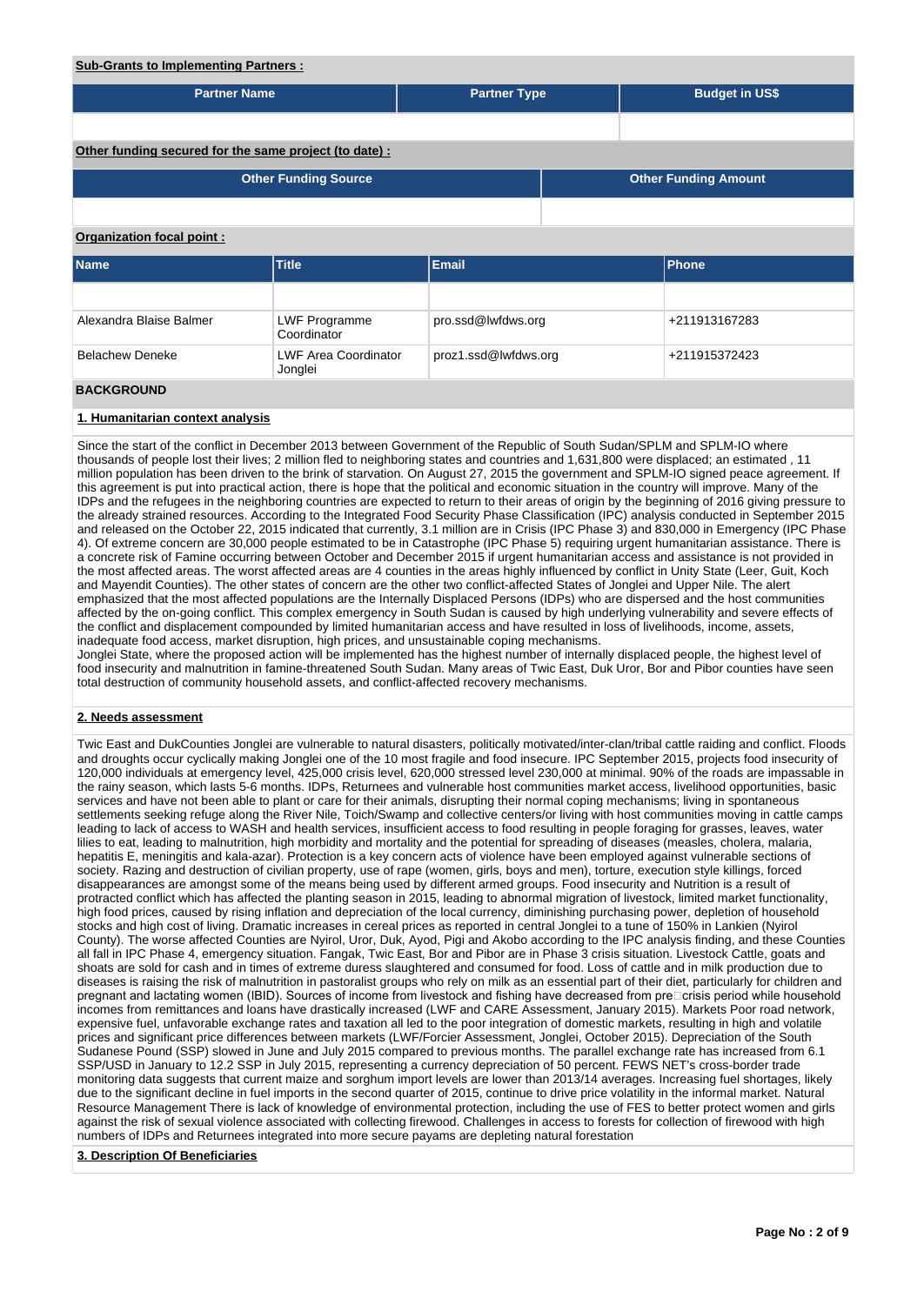# **Sub-Grants to Implementing Partners :**

| <u><b>The Channel of Imprementing Partners 1</b></u>   |                                        |                      |  |                             |  |  |  |  |  |  |  |
|--------------------------------------------------------|----------------------------------------|----------------------|--|-----------------------------|--|--|--|--|--|--|--|
| <b>Partner Name</b>                                    |                                        | <b>Partner Type</b>  |  | <b>Budget in US\$</b>       |  |  |  |  |  |  |  |
|                                                        |                                        |                      |  |                             |  |  |  |  |  |  |  |
| Other funding secured for the same project (to date) : |                                        |                      |  |                             |  |  |  |  |  |  |  |
|                                                        | <b>Other Funding Source</b>            |                      |  | <b>Other Funding Amount</b> |  |  |  |  |  |  |  |
|                                                        |                                        |                      |  |                             |  |  |  |  |  |  |  |
| Organization focal point:                              |                                        |                      |  |                             |  |  |  |  |  |  |  |
| <b>Name</b>                                            | <b>Title</b>                           | <b>Email</b>         |  | <b>Phone</b>                |  |  |  |  |  |  |  |
|                                                        |                                        |                      |  |                             |  |  |  |  |  |  |  |
| Alexandra Blaise Balmer                                | <b>LWF Programme</b><br>Coordinator    | pro.ssd@lwfdws.org   |  | +211913167283               |  |  |  |  |  |  |  |
| <b>Belachew Deneke</b>                                 | <b>LWF Area Coordinator</b><br>Jonglei | proz1.ssd@lwfdws.org |  | +211915372423               |  |  |  |  |  |  |  |
| <b>BACKGROUND</b>                                      |                                        |                      |  |                             |  |  |  |  |  |  |  |

#### **1. Humanitarian context analysis**

Since the start of the conflict in December 2013 between Government of the Republic of South Sudan/SPLM and SPLM-IO where thousands of people lost their lives; 2 million fled to neighboring states and countries and 1,631,800 were displaced; an estimated , 11 million population has been driven to the brink of starvation. On August 27, 2015 the government and SPLM-IO signed peace agreement. If this agreement is put into practical action, there is hope that the political and economic situation in the country will improve. Many of the IDPs and the refugees in the neighboring countries are expected to return to their areas of origin by the beginning of 2016 giving pressure to the already strained resources. According to the Integrated Food Security Phase Classification (IPC) analysis conducted in September 2015 and released on the October 22, 2015 indicated that currently, 3.1 million are in Crisis (IPC Phase 3) and 830,000 in Emergency (IPC Phase 4). Of extreme concern are 30,000 people estimated to be in Catastrophe (IPC Phase 5) requiring urgent humanitarian assistance. There is a concrete risk of Famine occurring between October and December 2015 if urgent humanitarian access and assistance is not provided in the most affected areas. The worst affected areas are 4 counties in the areas highly influenced by conflict in Unity State (Leer, Guit, Koch and Mayendit Counties). The other states of concern are the other two conflict-affected States of Jonglei and Upper Nile. The alert emphasized that the most affected populations are the Internally Displaced Persons (IDPs) who are dispersed and the host communities affected by the on-going conflict. This complex emergency in South Sudan is caused by high underlying vulnerability and severe effects of the conflict and displacement compounded by limited humanitarian access and have resulted in loss of livelihoods, income, assets, inadequate food access, market disruption, high prices, and unsustainable coping mechanisms.

Jonglei State, where the proposed action will be implemented has the highest number of internally displaced people, the highest level of food insecurity and malnutrition in famine-threatened South Sudan. Many areas of Twic East, Duk Uror, Bor and Pibor counties have seen total destruction of community household assets, and conflict-affected recovery mechanisms.

#### **2. Needs assessment**

Twic East and DukCounties Jonglei are vulnerable to natural disasters, politically motivated/inter-clan/tribal cattle raiding and conflict. Floods and droughts occur cyclically making Jonglei one of the 10 most fragile and food insecure. IPC September 2015, projects food insecurity of 120,000 individuals at emergency level, 425,000 crisis level, 620,000 stressed level 230,000 at minimal. 90% of the roads are impassable in the rainy season, which lasts 5-6 months. IDPs, Returnees and vulnerable host communities market access, livelihood opportunities, basic services and have not been able to plant or care for their animals, disrupting their normal coping mechanisms; living in spontaneous settlements seeking refuge along the River Nile, Toich/Swamp and collective centers/or living with host communities moving in cattle camps leading to lack of access to WASH and health services, insufficient access to food resulting in people foraging for grasses, leaves, water lilies to eat, leading to malnutrition, high morbidity and mortality and the potential for spreading of diseases (measles, cholera, malaria, hepatitis E, meningitis and kala-azar). Protection is a key concern acts of violence have been employed against vulnerable sections of society. Razing and destruction of civilian property, use of rape (women, girls, boys and men), torture, execution style killings, forced disappearances are amongst some of the means being used by different armed groups. Food insecurity and Nutrition is a result of protracted conflict which has affected the planting season in 2015, leading to abnormal migration of livestock, limited market functionality, high food prices, caused by rising inflation and depreciation of the local currency, diminishing purchasing power, depletion of household stocks and high cost of living. Dramatic increases in cereal prices as reported in central Jonglei to a tune of 150% in Lankien (Nyirol County). The worse affected Counties are Nyirol, Uror, Duk, Ayod, Pigi and Akobo according to the IPC analysis finding, and these Counties all fall in IPC Phase 4, emergency situation. Fangak, Twic East, Bor and Pibor are in Phase 3 crisis situation. Livestock Cattle, goats and shoats are sold for cash and in times of extreme duress slaughtered and consumed for food. Loss of cattle and in milk production due to diseases is raising the risk of malnutrition in pastoralist groups who rely on milk as an essential part of their diet, particularly for children and pregnant and lactating women (IBID). Sources of income from livestock and fishing have decreased from pre $\Box$ crisis period while household incomes from remittances and loans have drastically increased (LWF and CARE Assessment, January 2015). Markets Poor road network, expensive fuel, unfavorable exchange rates and taxation all led to the poor integration of domestic markets, resulting in high and volatile prices and significant price differences between markets (LWF/Forcier Assessment, Jonglei, October 2015). Depreciation of the South Sudanese Pound (SSP) slowed in June and July 2015 compared to previous months. The parallel exchange rate has increased from 6.1 SSP/USD in January to 12.2 SSP in July 2015, representing a currency depreciation of 50 percent. FEWS NET's cross-border trade monitoring data suggests that current maize and sorghum import levels are lower than 2013/14 averages. Increasing fuel shortages, likely due to the significant decline in fuel imports in the second quarter of 2015, continue to drive price volatility in the informal market. Natural Resource Management There is lack of knowledge of environmental protection, including the use of FES to better protect women and girls against the risk of sexual violence associated with collecting firewood. Challenges in access to forests for collection of firewood with high numbers of IDPs and Returnees integrated into more secure payams are depleting natural forestation

#### **3. Description Of Beneficiaries**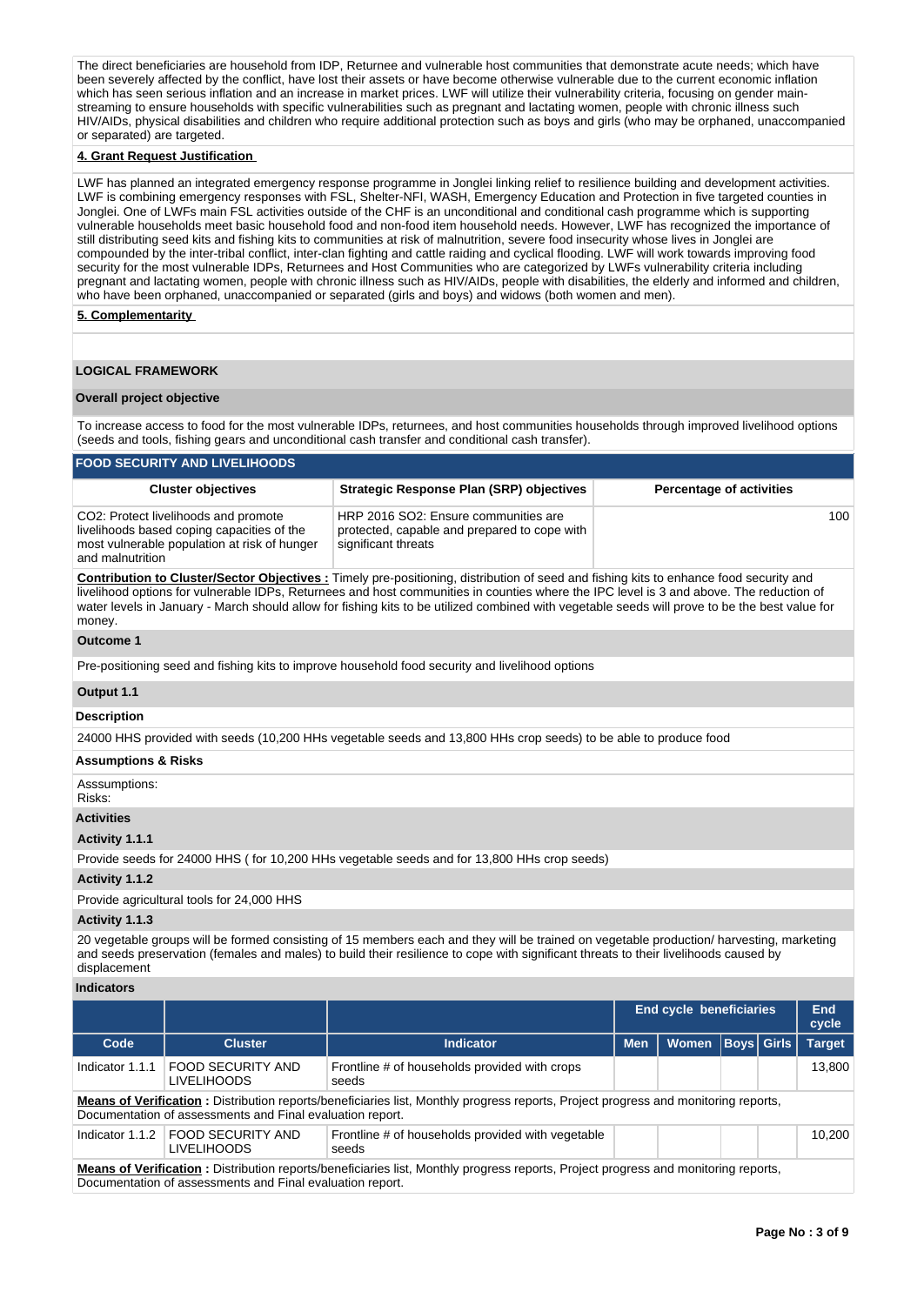The direct beneficiaries are household from IDP, Returnee and vulnerable host communities that demonstrate acute needs; which have been severely affected by the conflict, have lost their assets or have become otherwise vulnerable due to the current economic inflation which has seen serious inflation and an increase in market prices. LWF will utilize their vulnerability criteria, focusing on gender mainstreaming to ensure households with specific vulnerabilities such as pregnant and lactating women, people with chronic illness such HIV/AIDs, physical disabilities and children who require additional protection such as boys and girls (who may be orphaned, unaccompanied or separated) are targeted.

#### **4. Grant Request Justification**

LWF has planned an integrated emergency response programme in Jonglei linking relief to resilience building and development activities. LWF is combining emergency responses with FSL, Shelter-NFI, WASH, Emergency Education and Protection in five targeted counties in Jonglei. One of LWFs main FSL activities outside of the CHF is an unconditional and conditional cash programme which is supporting vulnerable households meet basic household food and non-food item household needs. However, LWF has recognized the importance of still distributing seed kits and fishing kits to communities at risk of malnutrition, severe food insecurity whose lives in Jonglei are compounded by the inter-tribal conflict, inter-clan fighting and cattle raiding and cyclical flooding. LWF will work towards improving food security for the most vulnerable IDPs, Returnees and Host Communities who are categorized by LWFs vulnerability criteria including pregnant and lactating women, people with chronic illness such as HIV/AIDs, people with disabilities, the elderly and informed and children, who have been orphaned, unaccompanied or separated (girls and boys) and widows (both women and men).

# **5. Complementarity**

### **LOGICAL FRAMEWORK**

#### **Overall project objective**

To increase access to food for the most vulnerable IDPs, returnees, and host communities households through improved livelihood options (seeds and tools, fishing gears and unconditional cash transfer and conditional cash transfer).

| <b>FOOD SECURITY AND LIVELIHOODS</b>                                                                                                                   |                                                                                                             |                                 |  |  |  |  |  |  |  |  |  |
|--------------------------------------------------------------------------------------------------------------------------------------------------------|-------------------------------------------------------------------------------------------------------------|---------------------------------|--|--|--|--|--|--|--|--|--|
| <b>Cluster objectives</b>                                                                                                                              | <b>Strategic Response Plan (SRP) objectives</b>                                                             | <b>Percentage of activities</b> |  |  |  |  |  |  |  |  |  |
| CO2: Protect livelihoods and promote<br>livelihoods based coping capacities of the<br>most vulnerable population at risk of hunger<br>and malnutrition | HRP 2016 SO2: Ensure communities are<br>protected, capable and prepared to cope with<br>significant threats | 100 <sup>1</sup>                |  |  |  |  |  |  |  |  |  |

**Contribution to Cluster/Sector Objectives :** Timely pre-positioning, distribution of seed and fishing kits to enhance food security and livelihood options for vulnerable IDPs, Returnees and host communities in counties where the IPC level is 3 and above. The reduction of water levels in January - March should allow for fishing kits to be utilized combined with vegetable seeds will prove to be the best value for money.

#### **Outcome 1**

Pre-positioning seed and fishing kits to improve household food security and livelihood options

### **Output 1.1**

# **Description**

24000 HHS provided with seeds (10,200 HHs vegetable seeds and 13,800 HHs crop seeds) to be able to produce food

### **Assumptions & Risks**

Asssumptions:

# Risks:

**Activities**

## **Activity 1.1.1**

Provide seeds for 24000 HHS ( for 10,200 HHs vegetable seeds and for 13,800 HHs crop seeds)

#### **Activity 1.1.2**

Provide agricultural tools for 24,000 HHS

### **Activity 1.1.3**

20 vegetable groups will be formed consisting of 15 members each and they will be trained on vegetable production/ harvesting, marketing and seeds preservation (females and males) to build their resilience to cope with significant threats to their livelihoods caused by displacement

#### **Indicators**

|                                                                                                                                                                                                         |                                                |                                                            |            | <b>End cycle beneficiaries</b> |                   | End<br>cycle |               |  |  |  |  |
|---------------------------------------------------------------------------------------------------------------------------------------------------------------------------------------------------------|------------------------------------------------|------------------------------------------------------------|------------|--------------------------------|-------------------|--------------|---------------|--|--|--|--|
| Code                                                                                                                                                                                                    | <b>Cluster</b>                                 | <b>Indicator</b>                                           | <b>Men</b> | <b>Women</b>                   | <b>Boys Girls</b> |              | <b>Target</b> |  |  |  |  |
| Indicator 1.1.1                                                                                                                                                                                         | FOOD SECURITY AND<br><b>LIVELIHOODS</b>        | Frontline # of households provided with crops<br>seeds     |            |                                |                   |              | 13.800        |  |  |  |  |
| <b>Means of Verification</b> : Distribution reports/beneficiaries list, Monthly progress reports, Project progress and monitoring reports,<br>Documentation of assessments and Final evaluation report. |                                                |                                                            |            |                                |                   |              |               |  |  |  |  |
| Indicator 1.1.2                                                                                                                                                                                         | <b>FOOD SECURITY AND</b><br><b>LIVELIHOODS</b> | Frontline # of households provided with vegetable<br>seeds |            |                                |                   |              | 10.200        |  |  |  |  |
| Means of Verification: Distribution reports/beneficiaries list, Monthly progress reports, Project progress and monitoring reports,                                                                      |                                                |                                                            |            |                                |                   |              |               |  |  |  |  |

Documentation of assessments and Final evaluation report.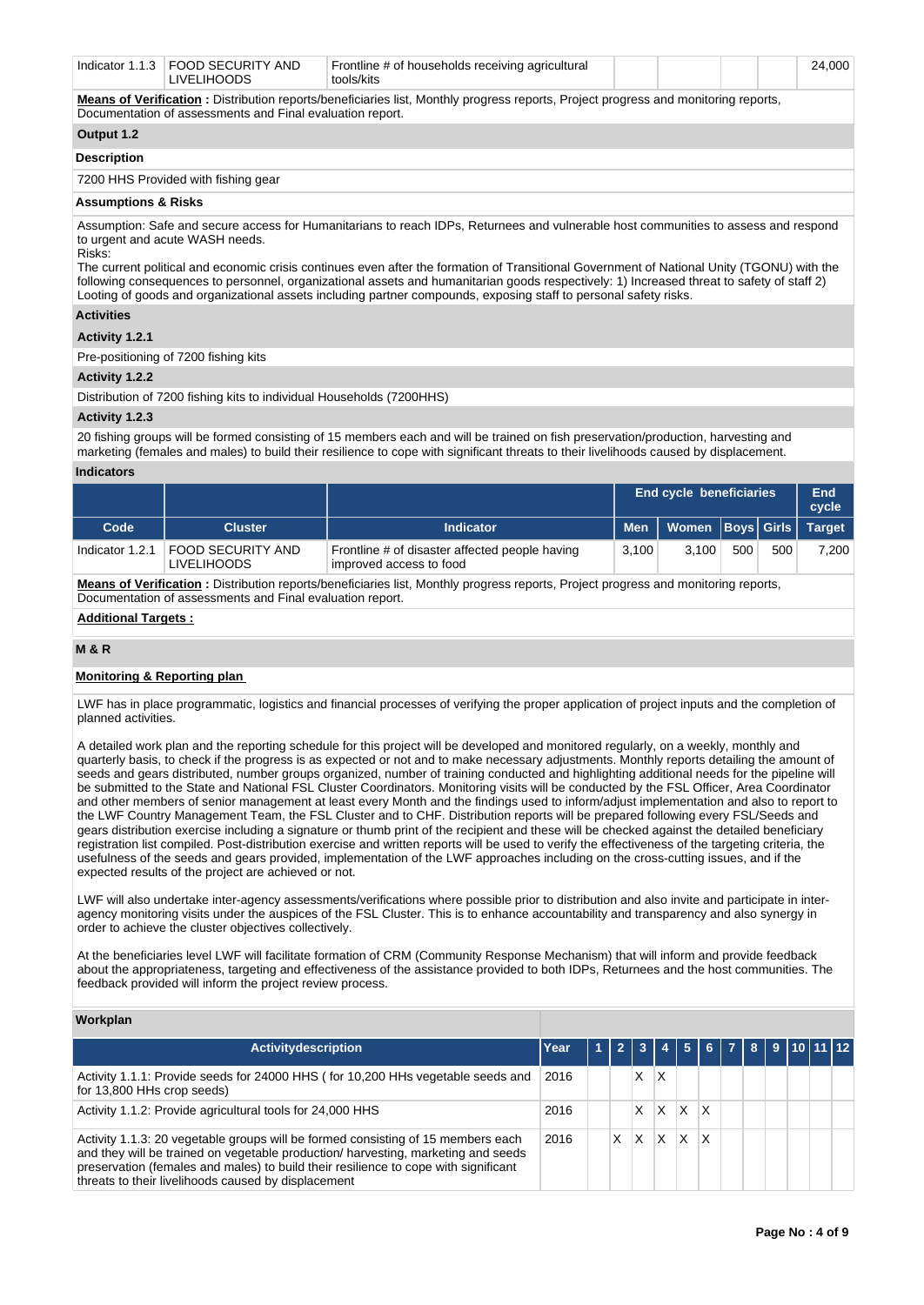|  | Indicator 1.1.3 FOOD SECURITY AND<br><b>IVELIHOODS</b> | Frontline # of households receiving agricultural<br>tools/kits |  |  |  |  | 24.000 |
|--|--------------------------------------------------------|----------------------------------------------------------------|--|--|--|--|--------|
|--|--------------------------------------------------------|----------------------------------------------------------------|--|--|--|--|--------|

**Means of Verification :** Distribution reports/beneficiaries list, Monthly progress reports, Project progress and monitoring reports, Documentation of assessments and Final evaluation report.

# **Output 1.2**

# **Description**

7200 HHS Provided with fishing gear

## **Assumptions & Risks**

Assumption: Safe and secure access for Humanitarians to reach IDPs, Returnees and vulnerable host communities to assess and respond to urgent and acute WASH needs. Risks:

The current political and economic crisis continues even after the formation of Transitional Government of National Unity (TGONU) with the following consequences to personnel, organizational assets and humanitarian goods respectively: 1) Increased threat to safety of staff 2) Looting of goods and organizational assets including partner compounds, exposing staff to personal safety risks.

## **Activities**

## **Activity 1.2.1**

Pre-positioning of 7200 fishing kits

### **Activity 1.2.2**

Distribution of 7200 fishing kits to individual Households (7200HHS)

### **Activity 1.2.3**

20 fishing groups will be formed consisting of 15 members each and will be trained on fish preservation/production, harvesting and marketing (females and males) to build their resilience to cope with significant threats to their livelihoods caused by displacement.

## **Indicators**

|                 |                                                |                                                                           |       | <b>End cycle beneficiaries</b> |     |     |               |  |
|-----------------|------------------------------------------------|---------------------------------------------------------------------------|-------|--------------------------------|-----|-----|---------------|--|
| Code            | <b>Cluster</b>                                 | <b>Indicator</b>                                                          |       | Men   Women   Boys   Girls   \ |     |     | <b>Target</b> |  |
| Indicator 1.2.1 | <b>FOOD SECURITY AND</b><br><b>LIVELIHOODS</b> | Frontline # of disaster affected people having<br>improved access to food | 3.100 | 3.100                          | 500 | 500 | 7,200         |  |

Means of Verification : Distribution reports/beneficiaries list, Monthly progress reports, Project progress and monitoring reports, Documentation of assessments and Final evaluation report.

# **Additional Targets :**

# **M & R**

# **Monitoring & Reporting plan**

LWF has in place programmatic, logistics and financial processes of verifying the proper application of project inputs and the completion of planned activities.

A detailed work plan and the reporting schedule for this project will be developed and monitored regularly, on a weekly, monthly and quarterly basis, to check if the progress is as expected or not and to make necessary adjustments. Monthly reports detailing the amount of seeds and gears distributed, number groups organized, number of training conducted and highlighting additional needs for the pipeline will be submitted to the State and National FSL Cluster Coordinators. Monitoring visits will be conducted by the FSL Officer, Area Coordinator and other members of senior management at least every Month and the findings used to inform/adjust implementation and also to report to the LWF Country Management Team, the FSL Cluster and to CHF. Distribution reports will be prepared following every FSL/Seeds and gears distribution exercise including a signature or thumb print of the recipient and these will be checked against the detailed beneficiary registration list compiled. Post-distribution exercise and written reports will be used to verify the effectiveness of the targeting criteria, the usefulness of the seeds and gears provided, implementation of the LWF approaches including on the cross-cutting issues, and if the expected results of the project are achieved or not.

LWF will also undertake inter-agency assessments/verifications where possible prior to distribution and also invite and participate in interagency monitoring visits under the auspices of the FSL Cluster. This is to enhance accountability and transparency and also synergy in order to achieve the cluster objectives collectively.

At the beneficiaries level LWF will facilitate formation of CRM (Community Response Mechanism) that will inform and provide feedback about the appropriateness, targeting and effectiveness of the assistance provided to both IDPs, Returnees and the host communities. The feedback provided will inform the project review process.

### **Workplan**

| <b>Activitydescription</b>                                                                                                                                                                                                                                                                                          | Year | $\overline{2}$ |   |   |   | 5   6   7   8   9   10   11   12 |  |  |  |
|---------------------------------------------------------------------------------------------------------------------------------------------------------------------------------------------------------------------------------------------------------------------------------------------------------------------|------|----------------|---|---|---|----------------------------------|--|--|--|
| Activity 1.1.1: Provide seeds for 24000 HHS (for 10,200 HHs vegetable seeds and<br>for 13,800 HHs crop seeds)                                                                                                                                                                                                       | 2016 |                | Χ | x |   |                                  |  |  |  |
| Activity 1.1.2: Provide agricultural tools for 24,000 HHS                                                                                                                                                                                                                                                           | 2016 |                |   | x | x | x                                |  |  |  |
| Activity 1.1.3: 20 vegetable groups will be formed consisting of 15 members each<br>and they will be trained on vegetable production/ harvesting, marketing and seeds<br>preservation (females and males) to build their resilience to cope with significant<br>threats to their livelihoods caused by displacement | 2016 | X              | x | x | x | X                                |  |  |  |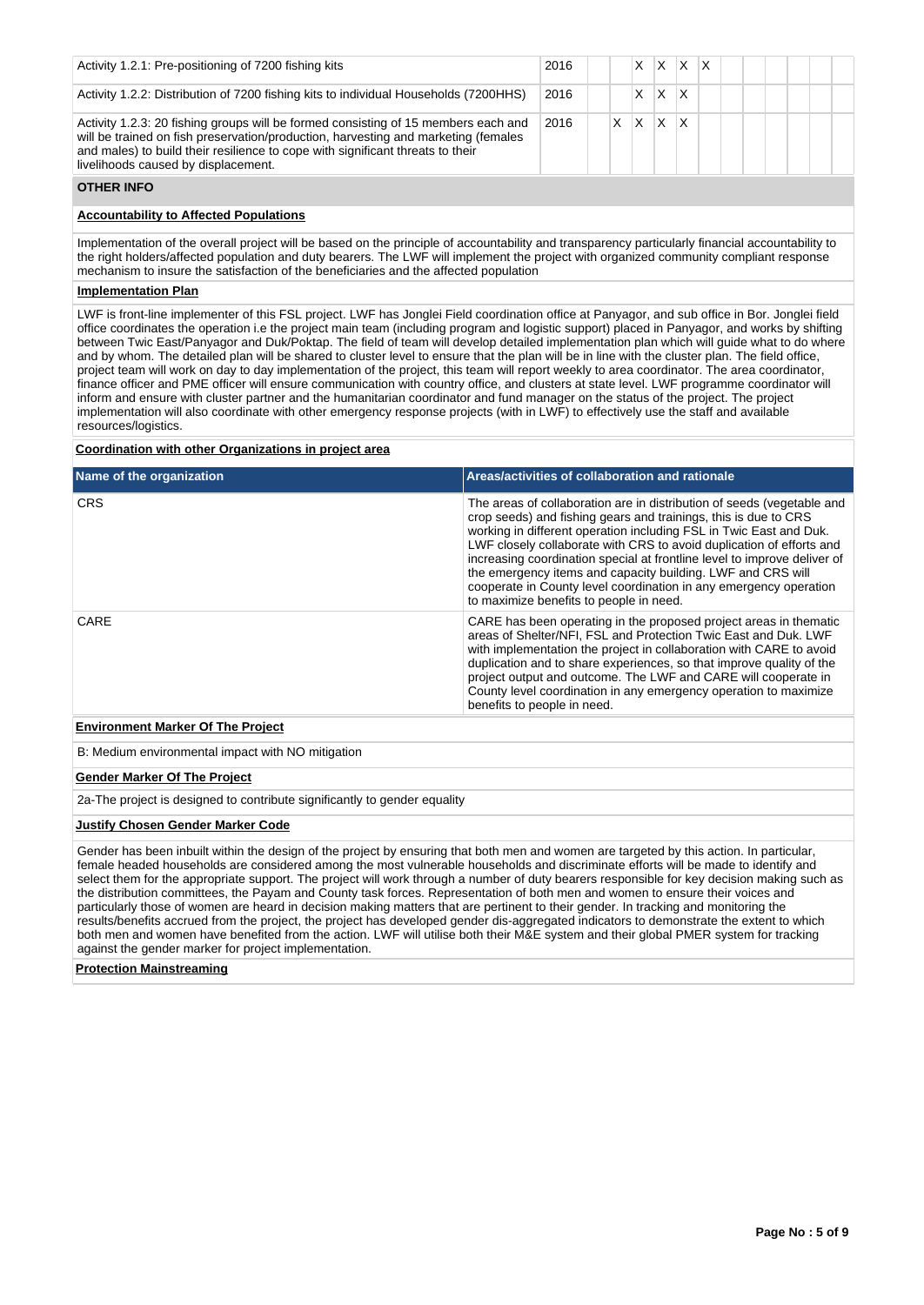| Activity 1.2.1: Pre-positioning of 7200 fishing kits                                                                                                                                                                                                                                              | 2016 |  |   |   | x | x |  |  |  |
|---------------------------------------------------------------------------------------------------------------------------------------------------------------------------------------------------------------------------------------------------------------------------------------------------|------|--|---|---|---|---|--|--|--|
| Activity 1.2.2: Distribution of 7200 fishing kits to individual Households (7200HHS)                                                                                                                                                                                                              | 2016 |  |   | X | x |   |  |  |  |
| Activity 1.2.3: 20 fishing groups will be formed consisting of 15 members each and<br>will be trained on fish preservation/production, harvesting and marketing (females<br>and males) to build their resilience to cope with significant threats to their<br>livelihoods caused by displacement. | 2016 |  | X | x | x |   |  |  |  |

#### **OTHER INFO**

# **Accountability to Affected Populations**

Implementation of the overall project will be based on the principle of accountability and transparency particularly financial accountability to the right holders/affected population and duty bearers. The LWF will implement the project with organized community compliant response mechanism to insure the satisfaction of the beneficiaries and the affected population

#### **Implementation Plan**

LWF is front-line implementer of this FSL project. LWF has Jonglei Field coordination office at Panyagor, and sub office in Bor. Jonglei field office coordinates the operation i.e the project main team (including program and logistic support) placed in Panyagor, and works by shifting between Twic East/Panyagor and Duk/Poktap. The field of team will develop detailed implementation plan which will guide what to do where and by whom. The detailed plan will be shared to cluster level to ensure that the plan will be in line with the cluster plan. The field office, project team will work on day to day implementation of the project, this team will report weekly to area coordinator. The area coordinator, finance officer and PME officer will ensure communication with country office, and clusters at state level. LWF programme coordinator will inform and ensure with cluster partner and the humanitarian coordinator and fund manager on the status of the project. The project implementation will also coordinate with other emergency response projects (with in LWF) to effectively use the staff and available resources/logistics.

# **Coordination with other Organizations in project area**

| Name of the organization                 | Areas/activities of collaboration and rationale                                                                                                                                                                                                                                                                                                                                                                                                                                                                                                    |
|------------------------------------------|----------------------------------------------------------------------------------------------------------------------------------------------------------------------------------------------------------------------------------------------------------------------------------------------------------------------------------------------------------------------------------------------------------------------------------------------------------------------------------------------------------------------------------------------------|
| <b>CRS</b>                               | The areas of collaboration are in distribution of seeds (vegetable and<br>crop seeds) and fishing gears and trainings, this is due to CRS<br>working in different operation including FSL in Twic East and Duk.<br>LWF closely collaborate with CRS to avoid duplication of efforts and<br>increasing coordination special at frontline level to improve deliver of<br>the emergency items and capacity building. LWF and CRS will<br>cooperate in County level coordination in any emergency operation<br>to maximize benefits to people in need. |
| CARE                                     | CARE has been operating in the proposed project areas in thematic<br>areas of Shelter/NFI, FSL and Protection Twic East and Duk. LWF<br>with implementation the project in collaboration with CARE to avoid<br>duplication and to share experiences, so that improve quality of the<br>project output and outcome. The LWF and CARE will cooperate in<br>County level coordination in any emergency operation to maximize<br>benefits to people in need.                                                                                           |
| <b>Environment Marker Of The Project</b> |                                                                                                                                                                                                                                                                                                                                                                                                                                                                                                                                                    |

B: Medium environmental impact with NO mitigation

### **Gender Marker Of The Project**

2a-The project is designed to contribute significantly to gender equality

#### **Justify Chosen Gender Marker Code**

Gender has been inbuilt within the design of the project by ensuring that both men and women are targeted by this action. In particular, female headed households are considered among the most vulnerable households and discriminate efforts will be made to identify and select them for the appropriate support. The project will work through a number of duty bearers responsible for key decision making such as the distribution committees, the Payam and County task forces. Representation of both men and women to ensure their voices and particularly those of women are heard in decision making matters that are pertinent to their gender. In tracking and monitoring the results/benefits accrued from the project, the project has developed gender dis-aggregated indicators to demonstrate the extent to which both men and women have benefited from the action. LWF will utilise both their M&E system and their global PMER system for tracking against the gender marker for project implementation.

#### **Protection Mainstreaming**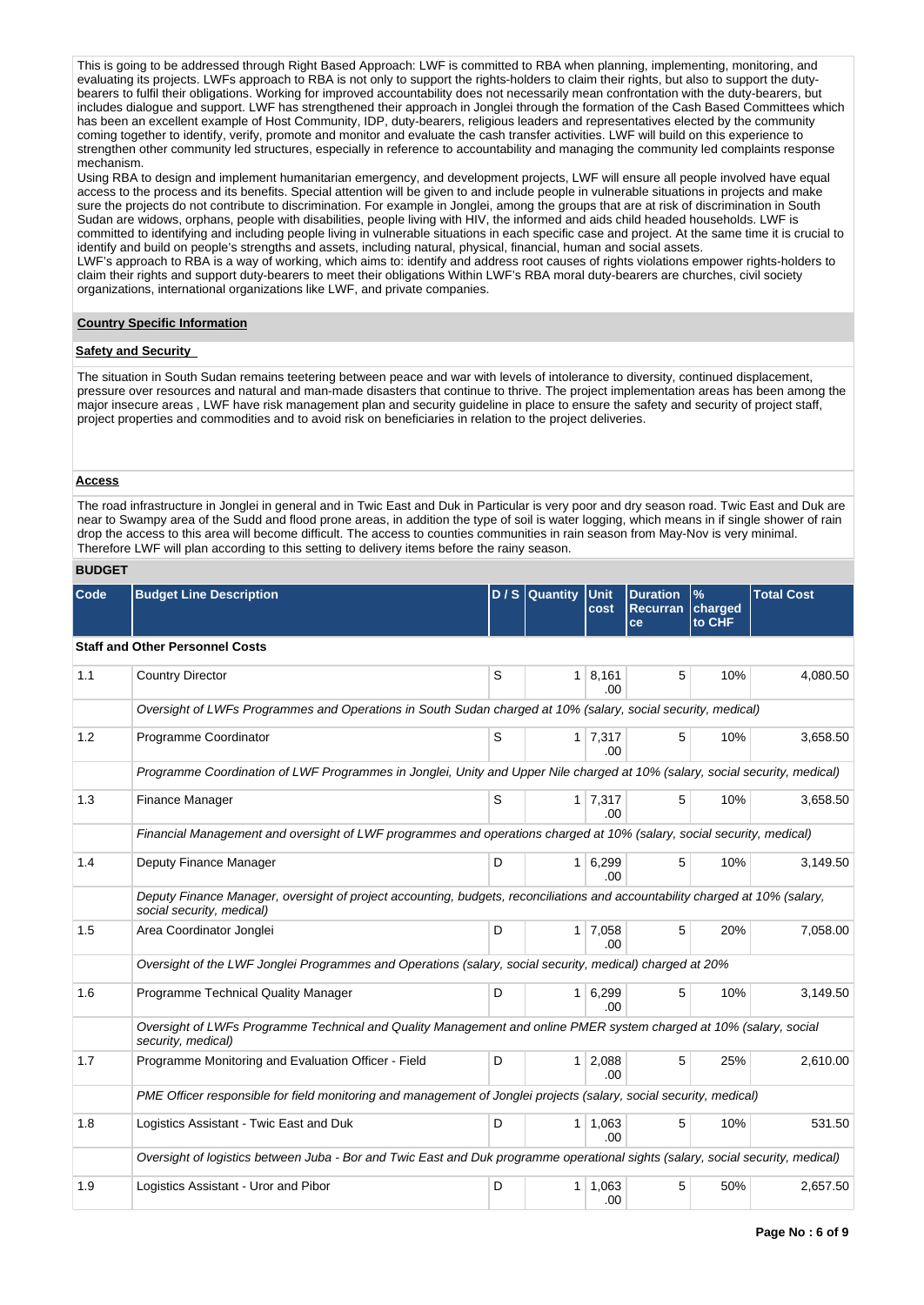This is going to be addressed through Right Based Approach: LWF is committed to RBA when planning, implementing, monitoring, and evaluating its projects. LWFs approach to RBA is not only to support the rights-holders to claim their rights, but also to support the dutybearers to fulfil their obligations. Working for improved accountability does not necessarily mean confrontation with the duty-bearers, but includes dialogue and support. LWF has strengthened their approach in Jonglei through the formation of the Cash Based Committees which has been an excellent example of Host Community, IDP, duty-bearers, religious leaders and representatives elected by the community coming together to identify, verify, promote and monitor and evaluate the cash transfer activities. LWF will build on this experience to strengthen other community led structures, especially in reference to accountability and managing the community led complaints response mechanism.

Using RBA to design and implement humanitarian emergency, and development projects, LWF will ensure all people involved have equal access to the process and its benefits. Special attention will be given to and include people in vulnerable situations in projects and make sure the projects do not contribute to discrimination. For example in Jonglei, among the groups that are at risk of discrimination in South Sudan are widows, orphans, people with disabilities, people living with HIV, the informed and aids child headed households. LWF is committed to identifying and including people living in vulnerable situations in each specific case and project. At the same time it is crucial to identify and build on people's strengths and assets, including natural, physical, financial, human and social assets.

LWF's approach to RBA is a way of working, which aims to: identify and address root causes of rights violations empower rights-holders to claim their rights and support duty-bearers to meet their obligations Within LWF's RBA moral duty-bearers are churches, civil society organizations, international organizations like LWF, and private companies.

# **Country Specific Information**

## **Safety and Security**

The situation in South Sudan remains teetering between peace and war with levels of intolerance to diversity, continued displacement, pressure over resources and natural and man-made disasters that continue to thrive. The project implementation areas has been among the major insecure areas , LWF have risk management plan and security guideline in place to ensure the safety and security of project staff, project properties and commodities and to avoid risk on beneficiaries in relation to the project deliveries.

#### **Access**

The road infrastructure in Jonglei in general and in Twic East and Duk in Particular is very poor and dry season road. Twic East and Duk are near to Swampy area of the Sudd and flood prone areas, in addition the type of soil is water logging, which means in if single shower of rain drop the access to this area will become difficult. The access to counties communities in rain season from May-Nov is very minimal. Therefore LWF will plan according to this setting to delivery items before the rainy season.

# **BUDGET**

| Code | <b>Budget Line Description</b>                                                                                                                            |   | $D / S$ Quantity | Unit<br>cost           | <b>Duration</b><br>Recurran charged | $\%$   | <b>Total Cost</b> |
|------|-----------------------------------------------------------------------------------------------------------------------------------------------------------|---|------------------|------------------------|-------------------------------------|--------|-------------------|
|      |                                                                                                                                                           |   |                  |                        | <b>ce</b>                           | to CHF |                   |
|      | <b>Staff and Other Personnel Costs</b>                                                                                                                    |   |                  |                        |                                     |        |                   |
| 1.1  | <b>Country Director</b>                                                                                                                                   | S | $\mathbf{1}$     | 8,161<br>.00           | 5                                   | 10%    | 4,080.50          |
|      | Oversight of LWFs Programmes and Operations in South Sudan charged at 10% (salary, social security, medical)                                              |   |                  |                        |                                     |        |                   |
| 1.2  | Programme Coordinator                                                                                                                                     | S | 1 <sup>1</sup>   | 7,317<br>.00           | 5                                   | 10%    | 3,658.50          |
|      | Programme Coordination of LWF Programmes in Jonglei, Unity and Upper Nile charged at 10% (salary, social security, medical)                               |   |                  |                        |                                     |        |                   |
| 1.3  | Finance Manager                                                                                                                                           | S |                  | $1 \mid 7,317$<br>.00. | 5                                   | 10%    | 3,658.50          |
|      | Financial Management and oversight of LWF programmes and operations charged at 10% (salary, social security, medical)                                     |   |                  |                        |                                     |        |                   |
| 1.4  | Deputy Finance Manager                                                                                                                                    | D | $\mathbf{1}$     | 6,299<br>.00           | 5                                   | 10%    | 3,149.50          |
|      | Deputy Finance Manager, oversight of project accounting, budgets, reconciliations and accountability charged at 10% (salary,<br>social security, medical) |   |                  |                        |                                     |        |                   |
| 1.5  | Area Coordinator Jonglei                                                                                                                                  | D | 1 <sup>1</sup>   | 7,058<br>.00           | 5                                   | 20%    | 7,058.00          |
|      | Oversight of the LWF Jonglei Programmes and Operations (salary, social security, medical) charged at 20%                                                  |   |                  |                        |                                     |        |                   |
| 1.6  | Programme Technical Quality Manager                                                                                                                       | D | $\mathbf{1}$     | 6,299<br>.00.          | 5                                   | 10%    | 3,149.50          |
|      | Oversight of LWFs Programme Technical and Quality Management and online PMER system charged at 10% (salary, social<br>security, medical)                  |   |                  |                        |                                     |        |                   |
| 1.7  | Programme Monitoring and Evaluation Officer - Field                                                                                                       | D | 1                | 2,088<br>.00.          | 5                                   | 25%    | 2,610.00          |
|      | PME Officer responsible for field monitoring and management of Jonglei projects (salary, social security, medical)                                        |   |                  |                        |                                     |        |                   |
| 1.8  | Logistics Assistant - Twic East and Duk                                                                                                                   | D | 1 <sup>1</sup>   | 1,063<br>.00.          | 5                                   | 10%    | 531.50            |
|      | Oversight of logistics between Juba - Bor and Twic East and Duk programme operational sights (salary, social security, medical)                           |   |                  |                        |                                     |        |                   |
| 1.9  | Logistics Assistant - Uror and Pibor                                                                                                                      | D | 1                | 1,063<br>.00           | 5                                   | 50%    | 2,657.50          |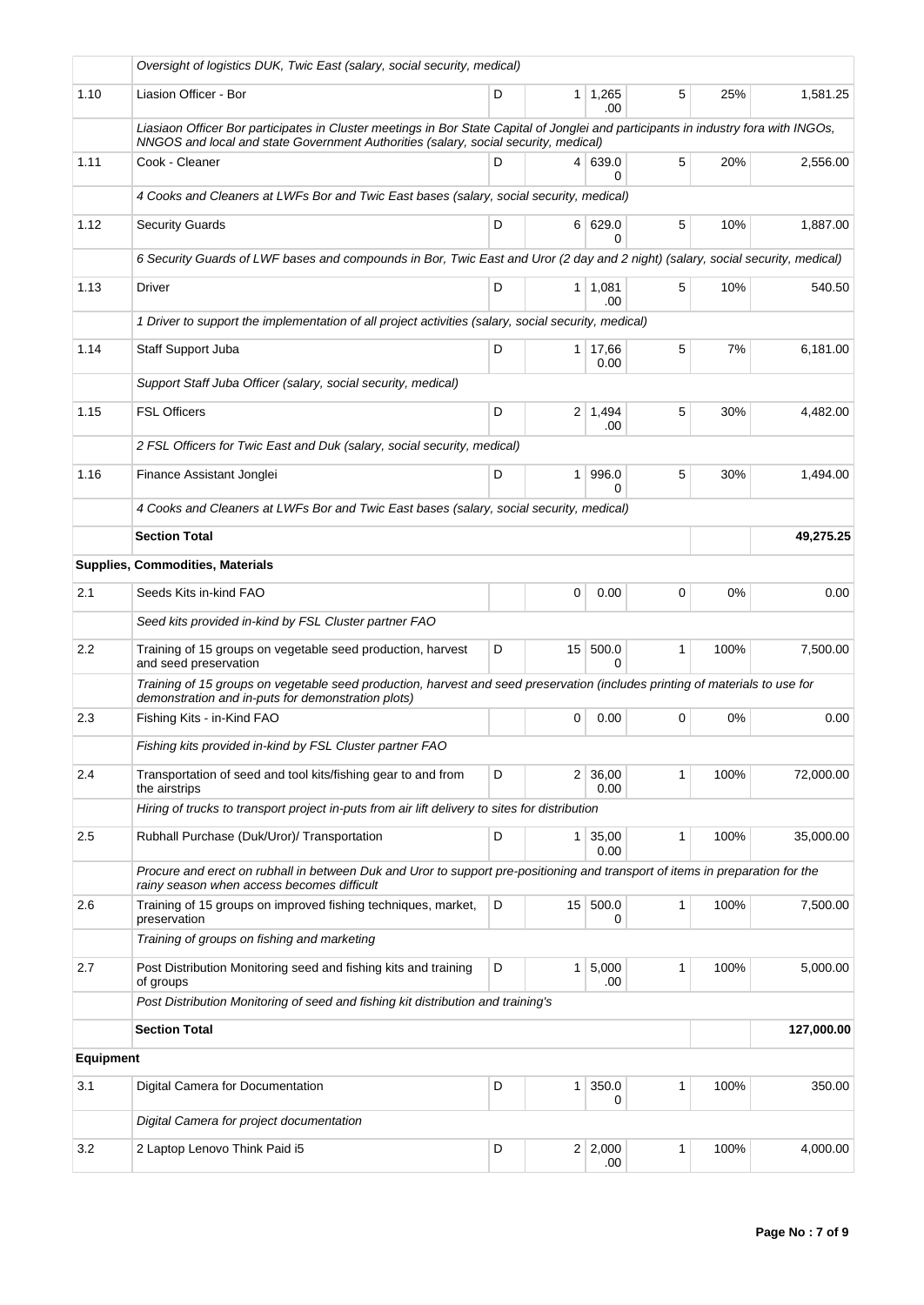|           | Oversight of logistics DUK, Twic East (salary, social security, medical)                                                                                                                                                   |   |                |                        |   |      |            |
|-----------|----------------------------------------------------------------------------------------------------------------------------------------------------------------------------------------------------------------------------|---|----------------|------------------------|---|------|------------|
| 1.10      | Liasion Officer - Bor                                                                                                                                                                                                      | D | 1 <sup>1</sup> | 1,265<br>.00           | 5 | 25%  | 1.581.25   |
|           | Liasiaon Officer Bor participates in Cluster meetings in Bor State Capital of Jonglei and participants in industry fora with INGOs,<br>NNGOS and local and state Government Authorities (salary, social security, medical) |   |                |                        |   |      |            |
| 1.11      | Cook - Cleaner                                                                                                                                                                                                             | D |                | 4 639.0<br>0           | 5 | 20%  | 2,556.00   |
|           | 4 Cooks and Cleaners at LWFs Bor and Twic East bases (salary, social security, medical)                                                                                                                                    |   |                |                        |   |      |            |
| 1.12      | <b>Security Guards</b>                                                                                                                                                                                                     | D |                | 6 629.0<br>0           | 5 | 10%  | 1,887.00   |
|           | 6 Security Guards of LWF bases and compounds in Bor, Twic East and Uror (2 day and 2 night) (salary, social security, medical)                                                                                             |   |                |                        |   |      |            |
| 1.13      | <b>Driver</b>                                                                                                                                                                                                              | D |                | $1 \mid 1,081$<br>.00  | 5 | 10%  | 540.50     |
|           | 1 Driver to support the implementation of all project activities (salary, social security, medical)                                                                                                                        |   |                |                        |   |      |            |
| 1.14      | Staff Support Juba                                                                                                                                                                                                         | D |                | $1 \mid 17,66$<br>0.00 | 5 | 7%   | 6,181.00   |
|           | Support Staff Juba Officer (salary, social security, medical)                                                                                                                                                              |   |                |                        |   |      |            |
| 1.15      | <b>FSL Officers</b>                                                                                                                                                                                                        | D |                | $2 \mid 1,494$<br>.00  | 5 | 30%  | 4,482.00   |
|           | 2 FSL Officers for Twic East and Duk (salary, social security, medical)                                                                                                                                                    |   |                |                        |   |      |            |
| 1.16      | Finance Assistant Jonglei                                                                                                                                                                                                  | D | 1 <sup>1</sup> | 996.0                  | 5 | 30%  | 1.494.00   |
|           | 4 Cooks and Cleaners at LWFs Bor and Twic East bases (salary, social security, medical)                                                                                                                                    |   |                |                        |   |      |            |
|           | <b>Section Total</b>                                                                                                                                                                                                       |   |                |                        |   |      | 49,275.25  |
|           | <b>Supplies, Commodities, Materials</b>                                                                                                                                                                                    |   |                |                        |   |      |            |
| 2.1       | Seeds Kits in-kind FAO                                                                                                                                                                                                     |   | 0              | 0.00                   | 0 | 0%   | 0.00       |
|           | Seed kits provided in-kind by FSL Cluster partner FAO                                                                                                                                                                      |   |                |                        |   |      |            |
| 2.2       | Training of 15 groups on vegetable seed production, harvest<br>and seed preservation                                                                                                                                       | D |                | 15 500.0<br>O          | 1 | 100% | 7,500.00   |
|           | Training of 15 groups on vegetable seed production, harvest and seed preservation (includes printing of materials to use for<br>demonstration and in-puts for demonstration plots)                                         |   |                |                        |   |      |            |
| 2.3       | Fishing Kits - in-Kind FAO                                                                                                                                                                                                 |   | 0              | 0.00                   | 0 | 0%   | 0.00       |
|           | Fishing kits provided in-kind by FSL Cluster partner FAO                                                                                                                                                                   |   |                |                        |   |      |            |
| 2.4       | Transportation of seed and tool kits/fishing gear to and from<br>the airstrips                                                                                                                                             | D | $\overline{2}$ | 36,00<br>0.00          | 1 | 100% | 72.000.00  |
|           | Hiring of trucks to transport project in-puts from air lift delivery to sites for distribution                                                                                                                             |   |                |                        |   |      |            |
| 2.5       | Rubhall Purchase (Duk/Uror)/ Transportation                                                                                                                                                                                | D |                | $1 \mid 35,00$<br>0.00 | 1 | 100% | 35,000.00  |
|           | Procure and erect on rubhall in between Duk and Uror to support pre-positioning and transport of items in preparation for the<br>rainy season when access becomes difficult                                                |   |                |                        |   |      |            |
| 2.6       | Training of 15 groups on improved fishing techniques, market,<br>preservation                                                                                                                                              | D |                | 15 500.0<br>0          | 1 | 100% | 7,500.00   |
|           | Training of groups on fishing and marketing                                                                                                                                                                                |   |                |                        |   |      |            |
| 2.7       | Post Distribution Monitoring seed and fishing kits and training<br>of groups                                                                                                                                               | D |                | $1 \mid 5,000$<br>.00  | 1 | 100% | 5,000.00   |
|           | Post Distribution Monitoring of seed and fishing kit distribution and training's                                                                                                                                           |   |                |                        |   |      |            |
|           | <b>Section Total</b>                                                                                                                                                                                                       |   |                |                        |   |      | 127,000.00 |
| Equipment |                                                                                                                                                                                                                            |   |                |                        |   |      |            |
| 3.1       | Digital Camera for Documentation                                                                                                                                                                                           | D | 1 <sup>1</sup> | 350.0<br>0             | 1 | 100% | 350.00     |
|           | Digital Camera for project documentation                                                                                                                                                                                   |   |                |                        |   |      |            |
| 3.2       | 2 Laptop Lenovo Think Paid i5                                                                                                                                                                                              | D |                | 2 2,000<br>.00         | 1 | 100% | 4,000.00   |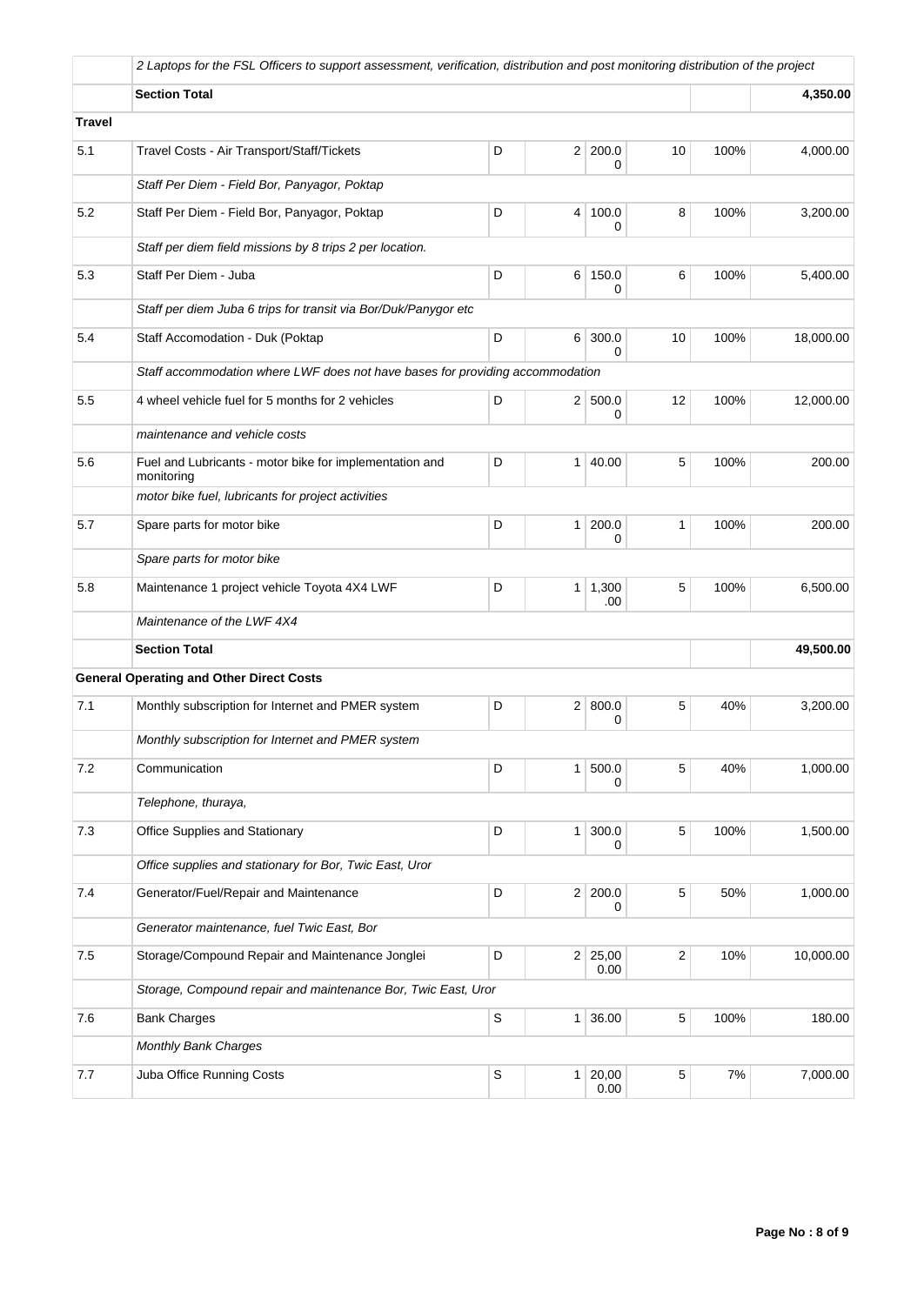|         | 2 Laptops for the FSL Officers to support assessment, verification, distribution and post monitoring distribution of the project |                                                                               |                |                       |    |       |           |  |  |  |
|---------|----------------------------------------------------------------------------------------------------------------------------------|-------------------------------------------------------------------------------|----------------|-----------------------|----|-------|-----------|--|--|--|
|         | <b>Section Total</b>                                                                                                             |                                                                               | 4,350.00       |                       |    |       |           |  |  |  |
| Travel  |                                                                                                                                  |                                                                               |                |                       |    |       |           |  |  |  |
| 5.1     | Travel Costs - Air Transport/Staff/Tickets                                                                                       | D                                                                             | 2 <sup>1</sup> | 200.0<br>0            | 10 | 100%  | 4,000.00  |  |  |  |
|         | Staff Per Diem - Field Bor, Panyagor, Poktap                                                                                     |                                                                               |                |                       |    |       |           |  |  |  |
| 5.2     | Staff Per Diem - Field Bor, Panyagor, Poktap                                                                                     | D                                                                             |                | 4 100.0<br>0          | 8  | 100%  | 3,200.00  |  |  |  |
|         | Staff per diem field missions by 8 trips 2 per location.                                                                         |                                                                               |                |                       |    |       |           |  |  |  |
| 5.3     | Staff Per Diem - Juba                                                                                                            | D<br>150.0<br>6<br>0                                                          |                |                       |    | 100%  | 5,400.00  |  |  |  |
|         | Staff per diem Juba 6 trips for transit via Bor/Duk/Panygor etc                                                                  |                                                                               |                |                       |    |       |           |  |  |  |
| 5.4     | Staff Accomodation - Duk (Poktap                                                                                                 | D                                                                             | 6 <sup>1</sup> | 300.0<br>0            | 10 | 100%  | 18,000.00 |  |  |  |
|         |                                                                                                                                  | Staff accommodation where LWF does not have bases for providing accommodation |                |                       |    |       |           |  |  |  |
| 5.5     | 4 wheel vehicle fuel for 5 months for 2 vehicles                                                                                 | D                                                                             |                | 2   500.0<br>0        | 12 | 100%  | 12,000.00 |  |  |  |
|         | maintenance and vehicle costs                                                                                                    |                                                                               |                |                       |    |       |           |  |  |  |
| 5.6     | Fuel and Lubricants - motor bike for implementation and<br>monitoring                                                            | D                                                                             | 1 <sup>1</sup> | 40.00                 | 5  | 100%  | 200.00    |  |  |  |
|         | motor bike fuel, lubricants for project activities                                                                               |                                                                               |                |                       |    |       |           |  |  |  |
| 5.7     | Spare parts for motor bike                                                                                                       | D                                                                             | 1 <sup>1</sup> | 200.0<br>0            | 1  | 100%  | 200.00    |  |  |  |
|         | Spare parts for motor bike                                                                                                       |                                                                               |                |                       |    |       |           |  |  |  |
| 5.8     | Maintenance 1 project vehicle Toyota 4X4 LWF                                                                                     | D                                                                             |                | $1 \mid 1,300$<br>.00 | 5  | 100%  | 6,500.00  |  |  |  |
|         | Maintenance of the LWF 4X4                                                                                                       |                                                                               |                |                       |    |       |           |  |  |  |
|         | <b>Section Total</b>                                                                                                             |                                                                               |                |                       |    |       | 49,500.00 |  |  |  |
|         | <b>General Operating and Other Direct Costs</b>                                                                                  |                                                                               |                |                       |    |       |           |  |  |  |
| 7.1     | Monthly subscription for Internet and PMER system                                                                                | D                                                                             |                | 2   800.0<br>0        | 5  | 40%   | 3,200.00  |  |  |  |
|         | Monthly subscription for Internet and PMER system                                                                                |                                                                               |                |                       |    |       |           |  |  |  |
| 7.2     | Communication                                                                                                                    | D                                                                             | 1              | 500.0<br>0            | 5  | 40%   | 1,000.00  |  |  |  |
|         | Telephone, thuraya,                                                                                                              |                                                                               |                |                       |    |       |           |  |  |  |
| 7.3     | Office Supplies and Stationary                                                                                                   | D                                                                             | 1              | 300.0<br>0            | 5  | 100%  | 1,500.00  |  |  |  |
|         | Office supplies and stationary for Bor, Twic East, Uror                                                                          |                                                                               |                |                       |    |       |           |  |  |  |
| 7.4     | Generator/Fuel/Repair and Maintenance                                                                                            | D                                                                             |                | 2 200.0<br>0          | 5  | 50%   | 1,000.00  |  |  |  |
|         | Generator maintenance, fuel Twic East, Bor                                                                                       |                                                                               |                |                       |    |       |           |  |  |  |
| $7.5\,$ | Storage/Compound Repair and Maintenance Jonglei                                                                                  | D                                                                             |                | 2 25,00<br>0.00       | 2  | 10%   | 10,000.00 |  |  |  |
|         | Storage, Compound repair and maintenance Bor, Twic East, Uror                                                                    |                                                                               |                |                       |    |       |           |  |  |  |
| 7.6     | <b>Bank Charges</b>                                                                                                              | $\mathbb S$                                                                   | 1 <sup>1</sup> | 36.00                 | 5  | 100%  | 180.00    |  |  |  |
|         | <b>Monthly Bank Charges</b>                                                                                                      |                                                                               |                |                       |    |       |           |  |  |  |
| 7.7     | Juba Office Running Costs                                                                                                        | S                                                                             | 1              | 20,00<br>0.00         | 5  | $7\%$ | 7,000.00  |  |  |  |